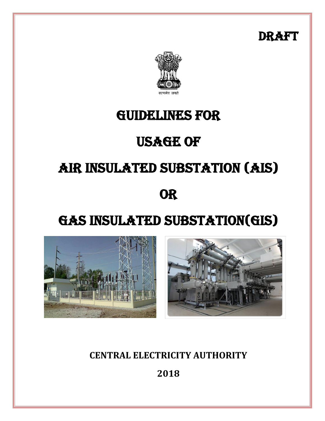DRAFT



### GUIDELINES FOR

## **USAGE OF**

# AIR INSULATED SUBSTATION (AIS)

## **OR**

# GAS INSULATED SUBSTATION(GIS)





### **CENTRAL ELECTRICITY AUTHORITY**

**2018**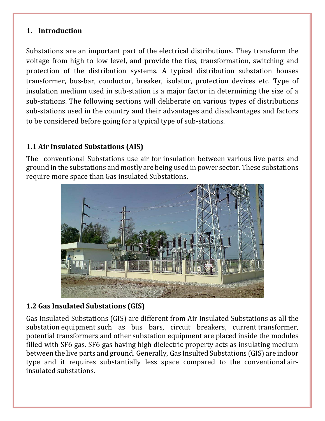#### **1. Introduction**

Substations are an important part of the electrical distributions. They transform the voltage from high to low level, and provide the ties, transformation, switching and protection of the distribution systems. A typical distribution substation houses transformer, bus-bar, conductor, breaker, isolator, protection devices etc. Type of insulation medium used in sub-station is a major factor in determining the size of a sub-stations. The following sections will deliberate on various types of distributions sub-stations used in the country and their advantages and disadvantages and factors to be considered before going for a typical type of sub-stations.

#### **1.1 Air Insulated Substations (AIS)**

The conventional Substations use air for insulation between various live parts and ground in the substations and mostly are being used in power sector. These substations require more space than Gas insulated Substations.



#### **1.2 Gas Insulated Substations (GIS)**

Gas Insulated Substations (GIS) are different from Air Insulated Substations as all the substation equipment such as bus bars, circuit breakers, current transformer, potential transformers and other substation equipment are placed inside the modules filled with SF6 gas. SF6 gas having high dielectric property acts as insulating medium between the live parts and ground. Generally, Gas Insulted Substations (GIS) are indoor type and it requires substantially less space compared to the conventional airinsulated substations.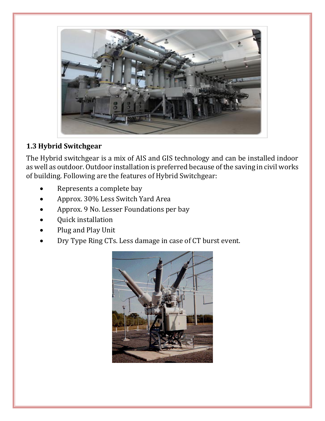

#### **1.3 Hybrid Switchgear**

The Hybrid switchgear is a mix of AIS and GIS technology and can be installed indoor as well as outdoor. Outdoor installation is preferred because of the saving in civil works of building. Following are the features of Hybrid Switchgear:

- Represents a complete bay
- Approx. 30% Less Switch Yard Area
- Approx. 9 No. Lesser Foundations per bay
- Quick installation
- Plug and Play Unit
- Dry Type Ring CTs. Less damage in case of CT burst event.

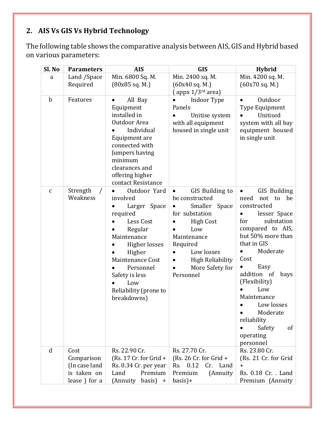### **2. AIS Vs GIS Vs Hybrid Technology**

The following table shows the comparative analysis between AIS, GIS and Hybrid based on various parameters:

| Sl. No       | <b>Parameters</b>                                                  | <b>AIS</b>                                                                                                                                                                                                                            | <b>GIS</b>                                                                                                                                                                                                                                    | <b>Hybrid</b>                                                                                                                                                                                                                                                                                                                                                                                     |
|--------------|--------------------------------------------------------------------|---------------------------------------------------------------------------------------------------------------------------------------------------------------------------------------------------------------------------------------|-----------------------------------------------------------------------------------------------------------------------------------------------------------------------------------------------------------------------------------------------|---------------------------------------------------------------------------------------------------------------------------------------------------------------------------------------------------------------------------------------------------------------------------------------------------------------------------------------------------------------------------------------------------|
| a            | Land /Space<br>Required                                            | Min. 6800 Sq. M.<br>(80x85 sq. M.)                                                                                                                                                                                                    | Min. 2400 sq. M.<br>(60x40 sq. M.)<br>$\left($ appx $1/3^{rd}$ area)                                                                                                                                                                          | Min. 4200 sq. M.<br>(60x70 sq. M.)                                                                                                                                                                                                                                                                                                                                                                |
| $\mathbf b$  | Features                                                           | All Bay<br>$\bullet$<br>Equipment<br>installed in<br>Outdoor Area<br>Individual<br>Equipment are<br>connected with<br>Jumpers having<br>minimum<br>clearances and<br>offering higher<br>contact Resistance                            | Indoor Type<br>Panels<br>Unitise system<br>with all equipment<br>housed in single unit                                                                                                                                                        | Outdoor<br>Type Equipment<br>Unitised<br>system with all bay<br>equipment housed<br>in single unit                                                                                                                                                                                                                                                                                                |
| $\mathbf{C}$ | Strength<br>$\sqrt{2}$<br>Weakness                                 | Outdoor Yard<br>$\bullet$<br>involved<br>Larger Space<br>required<br>Less Cost<br>Regular<br>Maintenance<br>Higher losses<br>Higher<br>Maintenance Cost<br>Personnel<br>Safety is less<br>Low<br>Reliability (prone to<br>breakdowns) | GIS Building to<br>$\bullet$<br>be constructed<br>Smaller<br>Space<br>$\bullet$<br>for substation<br><b>High Cost</b><br>Low<br>$\bullet$<br>Maintenance<br>Required<br>Low losses<br><b>High Reliability</b><br>More Safety for<br>Personnel | GIS Building<br>$\bullet$<br>need<br>be<br>not<br>to<br>constructed<br>lesser Space<br>$\bullet$<br>substation<br>for<br>compared to AIS,<br>but 50% more than<br>that in GIS<br>Moderate<br>$\bullet$<br>Cost<br>Easy<br>$\bullet$<br>addition of<br>bays<br>(Flexibility)<br>Low<br>Maintenance<br>Low losses<br>Moderate<br>reliability<br>Safety<br>of<br>$\bullet$<br>operating<br>personnel |
| $\mathbf d$  | Cost<br>Comparison<br>(In case land<br>is taken on<br>lease) for a | Rs. 22.90 Cr.<br>(Rs. 17 Cr. for Grid $+$<br>Rs. 0.34 Cr. per year<br>Land<br>Premium<br>(Annuity<br>basis $) +$                                                                                                                      | Rs. 27.70 Cr.<br>(Rs. 26 Cr. for Grid $+$<br>Rs. 0.12<br>Cr. Land<br>Premium<br>(Annuity<br>$basis$ )+                                                                                                                                        | Rs. 23.80 Cr.<br>(Rs. 21 Cr. for Grid<br>$+$<br>Rs. 0.18 Cr. . Land<br>Premium (Annuity                                                                                                                                                                                                                                                                                                           |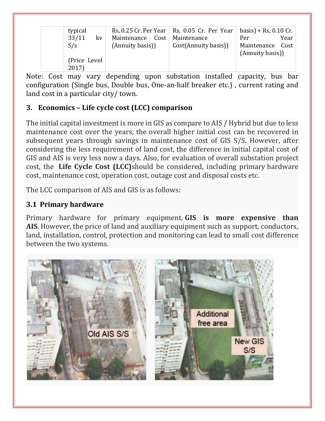| typical       |                                | Rs, 0.25 Cr. Per Year   Rs, 0.05 Cr. Per Year | $basis$ + Rs, 0.10 Cr. |
|---------------|--------------------------------|-----------------------------------------------|------------------------|
| 33/11<br>kv   | Maintenance Cost   Maintenance |                                               | Year<br>Per            |
| S/s           | (Annuity basis))               | Cost(Annuity basis))                          | Maintenance Cost       |
|               |                                |                                               | (Annuity basis))       |
| (Price Level) |                                |                                               |                        |
| 2017)         |                                |                                               |                        |

Note: Cost may vary depending upon substation installed capacity, bus bar configuration (Single bus, Double bus, One-an-half breaker etc.) , current rating and land cost in a particular city/ town.

#### **3. Economics – Life cycle cost (LCC) comparison**

The initial capital investment is more in GIS as compare to AIS / Hybrid but due to less maintenance cost over the years, the overall higher initial cost can be recovered in subsequent years through savings in maintenance cost of GIS S/S. However, after considering the less requirement of land cost, the difference in initial capital cost of GIS and AIS is very less now a days. Also, for evaluation of overall substation project cost, the **Life Cycle Cost (LCC)**should be considered, including primary hardware cost, maintenance cost, operation cost, outage cost and disposal costs etc.

The LCC comparison of AIS and GIS is as follows:

#### **3.1 Primary hardware**

Primary hardware for primary equipment, **GIS is more expensive than AIS**. However, the price of land and auxiliary equipment such as support, conductors, land, installation, control, protection and monitoring can lead to small cost difference between the two systems.

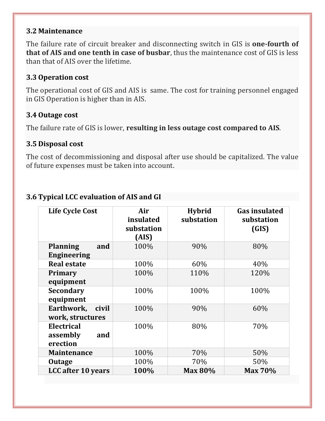#### **3.2 Maintenance**

The failure rate of circuit breaker and disconnecting switch in GIS is **one-fourth of that of AIS and one tenth in case of busbar**, thus the maintenance cost of GIS is less than that of AIS over the lifetime.

#### **3.3 Operation cost**

The operational cost of GIS and AIS is same. The cost for training personnel engaged in GIS Operation is higher than in AIS.

#### **3.4 Outage cost**

The failure rate of GIS is lower, **resulting in less outage cost compared to AIS**.

#### **3.5 Disposal cost**

The cost of decommissioning and disposal after use should be capitalized. The value of future expenses must be taken into account.

| <b>Life Cycle Cost</b>                       | Air<br>insulated<br>substation<br>(AIS) | <b>Hybrid</b><br>substation | <b>Gas insulated</b><br>substation<br>(GIS) |
|----------------------------------------------|-----------------------------------------|-----------------------------|---------------------------------------------|
| <b>Planning</b><br>and<br><b>Engineering</b> | 100%                                    | 90%                         | 80%                                         |
| <b>Real estate</b>                           | 100%                                    | 60%                         | 40%                                         |
| Primary<br>equipment                         | 100%                                    | 110%                        | 120%                                        |
| <b>Secondary</b><br>equipment                | 100%                                    | 100%                        | 100%                                        |
| Earthwork,<br>civil<br>work, structures      | 100%                                    | 90%                         | 60%                                         |
| Electrical<br>assembly<br>and<br>erection    | 100%                                    | 80%                         | 70%                                         |
| <b>Maintenance</b>                           | 100%                                    | 70%                         | 50%                                         |
| <b>Outage</b>                                | 100%                                    | 70%                         | 50%                                         |
| <b>LCC</b> after 10 years                    | 100%                                    | <b>Max 80%</b>              | <b>Max 70%</b>                              |

#### **3.6 Typical LCC evaluation of AIS and GI**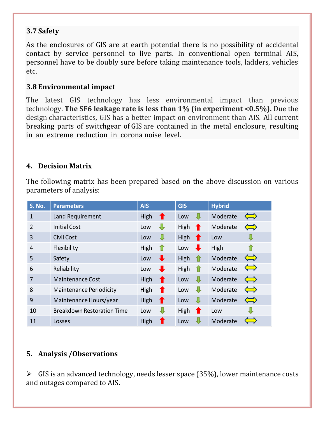#### **3.7 Safety**

As the enclosures of GIS are at earth potential there is no possibility of accidental contact by service personnel to live parts. In conventional open terminal AIS, personnel have to be doubly sure before taking maintenance tools, ladders, vehicles etc.

#### **3.8 Environmental impact**

The latest GIS technology has less environmental impact than previous technology. **The SF6 leakage rate is less than 1% (in experiment <0.5%).** Due the design characteristics, GIS has a better impact on environment than AIS. All current breaking parts of switchgear of GIS are contained in the metal enclosure, resulting in an extreme reduction in corona noise level.

#### **4. Decision Matrix**

The following matrix has been prepared based on the above discussion on various parameters of analysis:

| <b>S. No.</b>  | <b>Parameters</b>                 | <b>AIS</b>           | <b>GIS</b>             | <b>Hybrid</b>                          |
|----------------|-----------------------------------|----------------------|------------------------|----------------------------------------|
| 1              | Land Requirement                  | High<br>T            | ┺<br>Low               | Moderate<br>$\Longleftrightarrow$      |
| 2              | <b>Initial Cost</b>               | ⊕<br>Low             | High<br>$\blacksquare$ | Moderate<br>$\Longleftrightarrow$      |
| 3              | <b>Civil Cost</b>                 | ₩<br>Low             | High<br>T              | Low                                    |
| 4              | Flexibility                       | High<br>$\mathbf{r}$ | ┺<br>Low               | High<br>11                             |
| 5              | Safety                            | Low                  | High<br>11             | $\Leftrightarrow$<br>Moderate          |
| 6              | Reliability                       | Low                  | High<br>11             | $\Longleftrightarrow$<br>Moderate      |
| $\overline{7}$ | <b>Maintenance Cost</b>           | High<br>Ŧ            | ⇩<br>Low               | Moderate<br>$\Leftrightarrow$          |
| 8              | <b>Maintenance Periodicity</b>    | High<br>T            | ⇩<br>Low               | Moderate<br>$\Leftrightarrow$          |
| 9              | Maintenance Hours/year            | High<br>Ŧ            | ₩<br>Low               | Moderate<br>$\Leftrightarrow$          |
| 10             | <b>Breakdown Restoration Time</b> | Low                  | High<br>$\blacksquare$ | Low                                    |
| 11             | Losses                            | High                 | ₩<br>Low               | Moderate<br>$\mathcal{L}(\mathcal{L})$ |

#### **5. Analysis /Observations**

 $\triangleright$  GIS is an advanced technology, needs lesser space (35%), lower maintenance costs and outages compared to AIS.